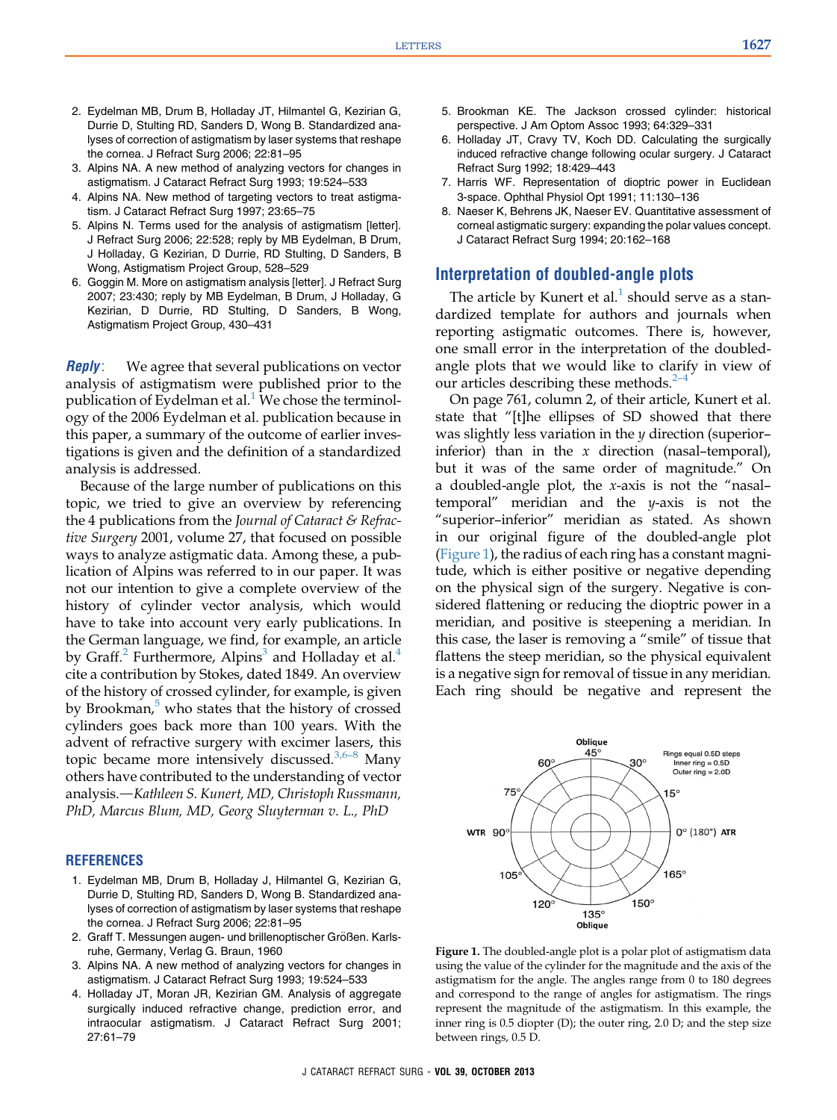- 2. Eydelman MB, Drum B, Holladay JT, Hilmantel G, Kezirian G, Durrie D, Stulting RD, Sanders D, Wong B. Standardized analyses of correction of astigmatism by laser systems that reshape the cornea. J Refract Surg 2006; 22:81–95
- 3. Alpins NA. A new method of analyzing vectors for changes in astigmatism. J Cataract Refract Surg 1993; 19:524–533
- 4. Alpins NA. New method of targeting vectors to treat astigmatism. J Cataract Refract Surg 1997; 23:65–75
- 5. Alpins N. Terms used for the analysis of astigmatism [letter]. J Refract Surg 2006; 22:528; reply by MB Eydelman, B Drum, J Holladay, G Kezirian, D Durrie, RD Stulting, D Sanders, B Wong, Astigmatism Project Group, 528–529
- 6. Goggin M. More on astigmatism analysis [letter]. J Refract Surg 2007; 23:430; reply by MB Eydelman, B Drum, J Holladay, G Kezirian, D Durrie, RD Stulting, D Sanders, B Wong, Astigmatism Project Group, 430–431

**Reply**: We agree that several publications on vector analysis of astigmatism were published prior to the publication of Eydelman et al.<sup>1</sup> We chose the terminology of the 2006 Eydelman et al. publication because in this paper, a summary of the outcome of earlier investigations is given and the definition of a standardized analysis is addressed.

Because of the large number of publications on this topic, we tried to give an overview by referencing the 4 publications from the Journal of Cataract  $\mathcal E$  Refractive Surgery 2001, volume 27, that focused on possible ways to analyze astigmatic data. Among these, a publication of Alpins was referred to in our paper. It was not our intention to give a complete overview of the history of cylinder vector analysis, which would have to take into account very early publications. In the German language, we find, for example, an article by Graff.<sup>2</sup> Furthermore, Alpins<sup>3</sup> and Holladay et al.<sup>4</sup> cite a contribution by Stokes, dated 1849. An overview of the history of crossed cylinder, for example, is given by Brookman, $\delta$  who states that the history of crossed cylinders goes back more than 100 years. With the advent of refractive surgery with excimer lasers, this topic became more intensively discussed. $3,6-8$  Many others have contributed to the understanding of vector analysis.—Kathleen S. Kunert, MD, Christoph Russmann, PhD, Marcus Blum, MD, Georg Sluyterman v. L., PhD

## **REFERENCES**

- 1. Eydelman MB, Drum B, Holladay J, Hilmantel G, Kezirian G, Durrie D, Stulting RD, Sanders D, Wong B. Standardized analyses of correction of astigmatism by laser systems that reshape the cornea. J Refract Surg 2006; 22:81–95
- 2. Graff T. Messungen augen- und brillenoptischer Größen. Karlsruhe, Germany, Verlag G. Braun, 1960
- 3. Alpins NA. A new method of analyzing vectors for changes in astigmatism. J Cataract Refract Surg 1993; 19:524–533
- 4. Holladay JT, Moran JR, Kezirian GM. Analysis of aggregate surgically induced refractive change, prediction error, and intraocular astigmatism. J Cataract Refract Surg 2001; 27:61–79
- 5. Brookman KE. The Jackson crossed cylinder: historical perspective. J Am Optom Assoc 1993; 64:329–331
- 6. Holladay JT, Cravy TV, Koch DD. Calculating the surgically induced refractive change following ocular surgery. J Cataract Refract Surg 1992; 18:429–443
- 7. Harris WF. Representation of dioptric power in Euclidean 3-space. Ophthal Physiol Opt 1991; 11:130–136
- 8. Naeser K, Behrens JK, Naeser EV. Quantitative assessment of corneal astigmatic surgery: expanding the polar values concept. J Cataract Refract Surg 1994; 20:162–168

## Interpretation of doubled-angle plots

The article by Kunert et al. $<sup>1</sup>$  $<sup>1</sup>$  $<sup>1</sup>$  should serve as a stan-</sup> dardized template for authors and journals when reporting astigmatic outcomes. There is, however, one small error in the interpretation of the doubledangle plots that we would like to cl[arif](#page-1-0)y in view of our articles describing these methods. $2-4$ 

On page 761, column 2, of their article, Kunert et al. state that "[t]he ellipses of SD showed that there was slightly less variation in the  $\gamma$  direction (superior– inferior) than in the  $x$  direction (nasal-temporal), but it was of the same order of magnitude." On a doubled-angle plot, the x-axis is not the "nasal– temporal" meridian and the  $y$ -axis is not the "superior–inferior" meridian as stated. As shown in our original figure of the doubled-angle plot (Figure 1), the radius of each ring has a constant magnitude, which is either positive or negative depending on the physical sign of the surgery. Negative is considered flattening or reducing the dioptric power in a meridian, and positive is steepening a meridian. In this case, the laser is removing a "smile" of tissue that flattens the steep meridian, so the physical equivalent is a negative sign for removal of tissue in any meridian. Each ring should be negative and represent the



Figure 1. The doubled-angle plot is a polar plot of astigmatism data using the value of the cylinder for the magnitude and the axis of the astigmatism for the angle. The angles range from 0 to 180 degrees and correspond to the range of angles for astigmatism. The rings represent the magnitude of the astigmatism. In this example, the inner ring is 0.5 diopter (D); the outer ring, 2.0 D; and the step size between rings, 0.5 D.